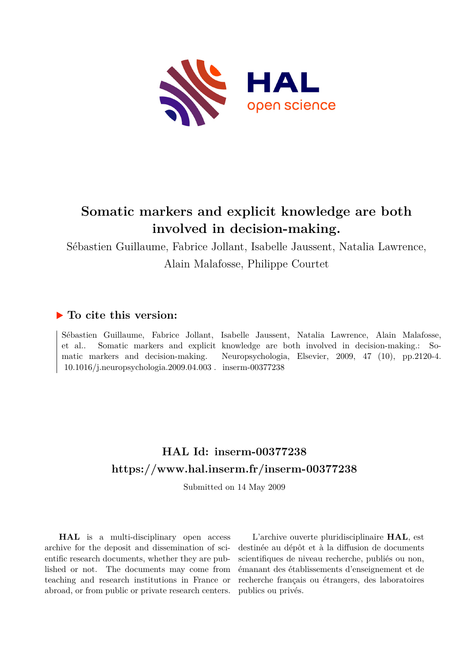

# **Somatic markers and explicit knowledge are both involved in decision-making.**

Sébastien Guillaume, Fabrice Jollant, Isabelle Jaussent, Natalia Lawrence, Alain Malafosse, Philippe Courtet

## **To cite this version:**

 $10.1016/j.neuropsychologia.2009.04.003$ . inserm-00377238

Sébastien Guillaume, Fabrice Jollant, Isabelle Jaussent, Natalia Lawrence, Alain Malafosse, et al.. Somatic markers and explicit knowledge are both involved in decision-making.: Somatic markers and decision-making. Neuropsychologia, Elsevier, 2009, 47 (10), pp.2120-4.

## **HAL Id: inserm-00377238 <https://www.hal.inserm.fr/inserm-00377238>**

Submitted on 14 May 2009

**HAL** is a multi-disciplinary open access archive for the deposit and dissemination of scientific research documents, whether they are published or not. The documents may come from teaching and research institutions in France or abroad, or from public or private research centers.

L'archive ouverte pluridisciplinaire **HAL**, est destinée au dépôt et à la diffusion de documents scientifiques de niveau recherche, publiés ou non, émanant des établissements d'enseignement et de recherche français ou étrangers, des laboratoires publics ou privés.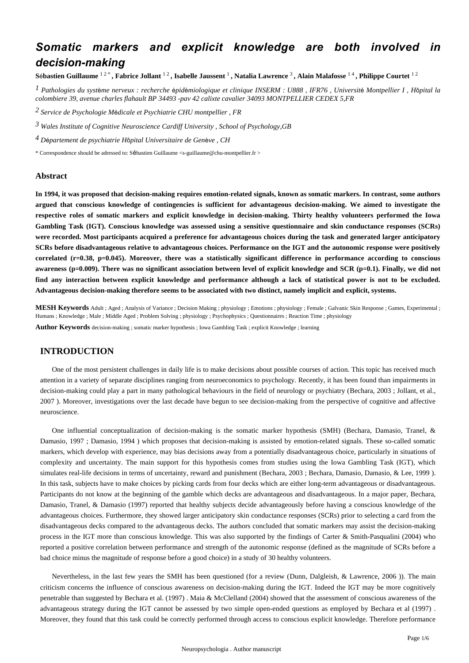## *Somatic markers and explicit knowledge are both involved in decision-making*

**S**é**bastien Guillaume** 1 2 \* **, Fabrice Jollant** 1 2 **, Isabelle Jaussent** <sup>1</sup> **, Natalia Lawrence** <sup>3</sup> **, Alain Malafosse** 1 4 **, Philippe Courtet** 1 2

*Pathologies du syst me nerveux : recherche pid miologique et clinique 1* <sup>è</sup> <sup>é</sup> <sup>é</sup> *INSERM : U888 , IFR76 , Universit*é *Montpellier I , H*ô*pital la colombiere 39, avenue charles flahault BP 34493 -pav 42 calixte cavalier 34093 MONTPELLIER CEDEX 5,FR*

*Service de Psychologie M dicale et Psychiatrie 2* <sup>é</sup> *CHU montpellier , FR*

*Wales Institute of Cognitive Neuroscience 3 Cardiff University , School of Psychology,GB*

*D partement de psychiatrie 4* <sup>é</sup> *H*ô*pital Universitaire de Gen*è*ve , CH*

\* Correspondence should be adressed to: Sébastien Guillaume <s-guillaume@chu-montpellier.fr >

#### **Abstract**

**In 1994, it was proposed that decision-making requires emotion-related signals, known as somatic markers. In contrast, some authors argued that conscious knowledge of contingencies is sufficient for advantageous decision-making. We aimed to investigate the respective roles of somatic markers and explicit knowledge in decision-making. Thirty healthy volunteers performed the Iowa Gambling Task (IGT). Conscious knowledge was assessed using a sensitive questionnaire and skin conductance responses (SCRs) were recorded. Most participants acquired a preference for advantageous choices during the task and generated larger anticipatory SCRs before disadvantageous relative to advantageous choices. Performance on the IGT and the autonomic response were positively correlated (r**=**0.38, p**=**0.045). Moreover, there was a statistically significant difference in performance according to conscious awareness (p**=**0.009). There was no significant association between level of explicit knowledge and SCR (p**=**0.1). Finally, we did not find any interaction between explicit knowledge and performance although a lack of statistical power is not to be excluded. Advantageous decision-making therefore seems to be associated with two distinct, namely implicit and explicit, systems.**

**MESH Keywords** Adult ; Aged ; Analysis of Variance ; Decision Making ; physiology ; Emotions ; physiology ; Female ; Galvanic Skin Response ; Games, Experimental ; Humans ; Knowledge ; Male ; Middle Aged ; Problem Solving ; physiology ; Psychophysics ; Questionnaires ; Reaction Time ; physiology

**Author Keywords** decision-making ; somatic marker hypothesis ; Iowa Gambling Task ; explicit Knowledge ; learning

## **INTRODUCTION**

One of the most persistent challenges in daily life is to make decisions about possible courses of action. This topic has received much attention in a variety of separate disciplines ranging from neuroeconomics to psychology. Recently, it has been found than impairments in decision-making could play a part in many pathological behaviours in the field of neurology or psychiatry (Bechara, 2003 ; Jollant, et al., 2007 ). Moreover, investigations over the last decade have begun to see decision-making from the perspective of cognitive and affective neuroscience.

One influential conceptualization of decision-making is the somatic marker hypothesis (SMH) (Bechara, Damasio, Tranel, & Damasio, 1997 ; Damasio, 1994 ) which proposes that decision-making is assisted by emotion-related signals. These so-called somatic markers, which develop with experience, may bias decisions away from a potentially disadvantageous choice, particularly in situations of complexity and uncertainty. The main support for this hypothesis comes from studies using the Iowa Gambling Task (IGT), which simulates real-life decisions in terms of uncertainty, reward and punishment (Bechara, 2003 ; Bechara, Damasio, Damasio, & Lee, 1999 ). In this task, subjects have to make choices by picking cards from four decks which are either long-term advantageous or disadvantageous. Participants do not know at the beginning of the gamble which decks are advantageous and disadvantageous. In a major paper, Bechara, Damasio, Tranel, & Damasio (1997) reported that healthy subjects decide advantageously before having a conscious knowledge of the advantageous choices. Furthermore, they showed larger anticipatory skin conductance responses (SCRs) prior to selecting a card from the disadvantageous decks compared to the advantageous decks. The authors concluded that somatic markers may assist the decision-making process in the IGT more than conscious knowledge. This was also supported by the findings of Carter & Smith-Pasqualini (2004) who reported a positive correlation between performance and strength of the autonomic response (defined as the magnitude of SCRs before a bad choice minus the magnitude of response before a good choice) in a study of 30 healthy volunteers.

Nevertheless, in the last few years the SMH has been questioned (for a review (Dunn, Dalgleish, & Lawrence, 2006 )). The main criticism concerns the influence of conscious awareness on decision-making during the IGT. Indeed the IGT may be more cognitively penetrable than suggested by Bechara et al. (1997) . Maia & McClelland (2004) showed that the assessment of conscious awareness of the advantageous strategy during the IGT cannot be assessed by two simple open-ended questions as employed by Bechara et al (1997) . Moreover, they found that this task could be correctly performed through access to conscious explicit knowledge. Therefore performance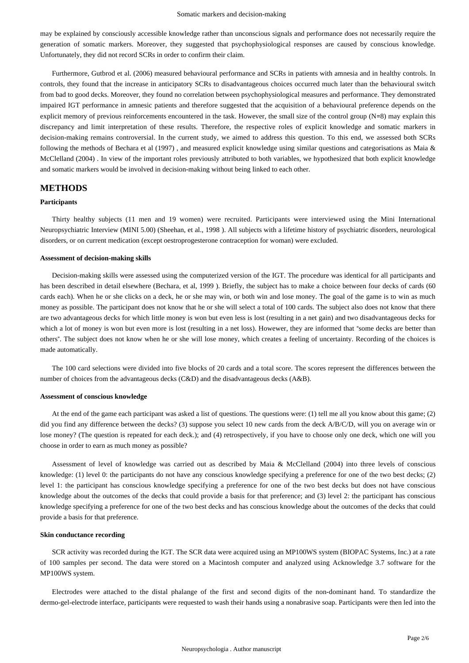may be explained by consciously accessible knowledge rather than unconscious signals and performance does not necessarily require the generation of somatic markers. Moreover, they suggested that psychophysiological responses are caused by conscious knowledge. Unfortunately, they did not record SCRs in order to confirm their claim.

Furthermore, Gutbrod et al. (2006) measured behavioural performance and SCRs in patients with amnesia and in healthy controls. In controls, they found that the increase in anticipatory SCRs to disadvantageous choices occurred much later than the behavioural switch from bad to good decks. Moreover, they found no correlation between psychophysiological measures and performance. They demonstrated impaired IGT performance in amnesic patients and therefore suggested that the acquisition of a behavioural preference depends on the explicit memory of previous reinforcements encountered in the task. However, the small size of the control group (N=8) may explain this discrepancy and limit interpretation of these results. Therefore, the respective roles of explicit knowledge and somatic markers in decision-making remains controversial. In the current study, we aimed to address this question. To this end, we assessed both SCRs following the methods of Bechara et al (1997) , and measured explicit knowledge using similar questions and categorisations as Maia & McClelland (2004) . In view of the important roles previously attributed to both variables, we hypothesized that both explicit knowledge and somatic markers would be involved in decision-making without being linked to each other.

### **METHODS**

#### **Participants**

Thirty healthy subjects (11 men and 19 women) were recruited. Participants were interviewed using the Mini International Neuropsychiatric Interview (MINI 5.00) (Sheehan, et al., 1998 ). All subjects with a lifetime history of psychiatric disorders, neurological disorders, or on current medication (except oestroprogesterone contraception for woman) were excluded.

#### **Assessment of decision-making skills**

Decision-making skills were assessed using the computerized version of the IGT. The procedure was identical for all participants and has been described in detail elsewhere (Bechara, et al, 1999 ). Briefly, the subject has to make a choice between four decks of cards (60 cards each). When he or she clicks on a deck, he or she may win, or both win and lose money. The goal of the game is to win as much money as possible. The participant does not know that he or she will select a total of 100 cards. The subject also does not know that there are two advantageous decks for which little money is won but even less is lost (resulting in a net gain) and two disadvantageous decks for which a lot of money is won but even more is lost (resulting in a net loss). Howewer, they are informed that "some decks are better than others". The subject does not know when he or she will lose money, which creates a feeling of uncertainty. Recording of the choices is made automatically.

The 100 card selections were divided into five blocks of 20 cards and a total score. The scores represent the differences between the number of choices from the advantageous decks (C&D) and the disadvantageous decks (A&B).

#### **Assessment of conscious knowledge**

At the end of the game each participant was asked a list of questions. The questions were: (1) tell me all you know about this game; (2) did you find any difference between the decks? (3) suppose you select 10 new cards from the deck A/B/C/D, will you on average win or lose money? (The question is repeated for each deck.); and (4) retrospectively, if you have to choose only one deck, which one will you choose in order to earn as much money as possible?

Assessment of level of knowledge was carried out as described by Maia & McClelland (2004) into three levels of conscious knowledge: (1) level 0: the participants do not have any conscious knowledge specifying a preference for one of the two best decks; (2) level 1: the participant has conscious knowledge specifying a preference for one of the two best decks but does not have conscious knowledge about the outcomes of the decks that could provide a basis for that preference; and (3) level 2: the participant has conscious knowledge specifying a preference for one of the two best decks and has conscious knowledge about the outcomes of the decks that could provide a basis for that preference.

#### **Skin conductance recording**

SCR activity was recorded during the IGT. The SCR data were acquired using an MP100WS system (BIOPAC Systems, Inc.) at a rate of 100 samples per second. The data were stored on a Macintosh computer and analyzed using Acknowledge 3.7 software for the MP100WS system.

Electrodes were attached to the distal phalange of the first and second digits of the non-dominant hand. To standardize the dermo-gel-electrode interface, participants were requested to wash their hands using a nonabrasive soap. Participants were then led into the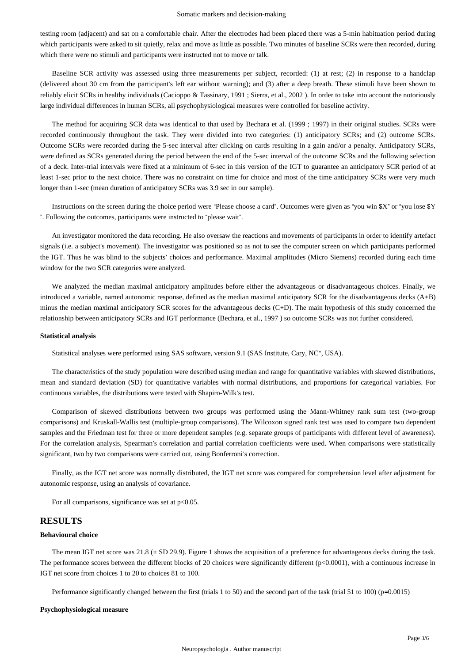testing room (adjacent) and sat on a comfortable chair. After the electrodes had been placed there was a 5-min habituation period during which participants were asked to sit quietly, relax and move as little as possible. Two minutes of baseline SCRs were then recorded, during which there were no stimuli and participants were instructed not to move or talk.

Baseline SCR activity was assessed using three measurements per subject, recorded: (1) at rest; (2) in response to a handclap (delivered about 30 cm from the participant's left ear without warning); and (3) after a deep breath. These stimuli have been shown to reliably elicit SCRs in healthy individuals (Cacioppo & Tassinary, 1991 ; Sierra, et al., 2002 ). In order to take into account the notoriously large individual differences in human SCRs, all psychophysiological measures were controlled for baseline activity.

The method for acquiring SCR data was identical to that used by Bechara et al. (1999 ; 1997) in their original studies. SCRs were recorded continuously throughout the task. They were divided into two categories: (1) anticipatory SCRs; and (2) outcome SCRs. Outcome SCRs were recorded during the 5-sec interval after clicking on cards resulting in a gain and/or a penalty. Anticipatory SCRs, were defined as SCRs generated during the period between the end of the 5-sec interval of the outcome SCRs and the following selection of a deck. Inter-trial intervals were fixed at a minimum of 6-sec in this version of the IGT to guarantee an anticipatory SCR period of at least 1-sec prior to the next choice. There was no constraint on time for choice and most of the time anticipatory SCRs were very much longer than 1-sec (mean duration of anticipatory SCRs was 3.9 sec in our sample).

Instructions on the screen during the choice period were "Please choose a card". Outcomes were given as "you win \$X" or "you lose \$Y ". Following the outcomes, participants were instructed to "please wait".

An investigator monitored the data recording. He also oversaw the reactions and movements of participants in order to identify artefact signals (i.e. a subject's movement). The investigator was positioned so as not to see the computer screen on which participants performed the IGT. Thus he was blind to the subjects' choices and performance. Maximal amplitudes (Micro Siemens) recorded during each time window for the two SCR categories were analyzed.

We analyzed the median maximal anticipatory amplitudes before either the advantageous or disadvantageous choices. Finally, we introduced a variable, named autonomic response, defined as the median maximal anticipatory SCR for the disadvantageous decks (A+B) minus the median maximal anticipatory SCR scores for the advantageous decks (C+D). The main hypothesis of this study concerned the relationship between anticipatory SCRs and IGT performance (Bechara, et al., 1997 ) so outcome SCRs was not further considered.

#### **Statistical analysis**

Statistical analyses were performed using SAS software, version 9.1 (SAS Institute, Cary, NC°, USA).

The characteristics of the study population were described using median and range for quantitative variables with skewed distributions, mean and standard deviation (SD) for quantitative variables with normal distributions, and proportions for categorical variables. For continuous variables, the distributions were tested with Shapiro-Wilk's test.

Comparison of skewed distributions between two groups was performed using the Mann-Whitney rank sum test (two-group comparisons) and Kruskall-Wallis test (multiple-group comparisons). The Wilcoxon signed rank test was used to compare two dependent samples and the Friedman test for three or more dependent samples (e.g. separate groups of participants with different level of awareness). For the correlation analysis, Spearman's correlation and partial correlation coefficients were used. When comparisons were statistically significant, two by two comparisons were carried out, using Bonferroni's correction.

Finally, as the IGT net score was normally distributed, the IGT net score was compared for comprehension level after adjustment for autonomic response, using an analysis of covariance.

For all comparisons, significance was set at  $p<0.05$ .

### **RESULTS**

#### **Behavioural choice**

The mean IGT net score was 21.8 ( $\pm$  SD 29.9). Figure 1 shows the acquisition of a preference for advantageous decks during the task. The performance scores between the different blocks of 20 choices were significantly different (p<0.0001), with a continuous increase in IGT net score from choices 1 to 20 to choices 81 to 100.

Performance significantly changed between the first (trials 1 to 50) and the second part of the task (trial 51 to 100) (p=0.0015)

#### **Psychophysiological measure**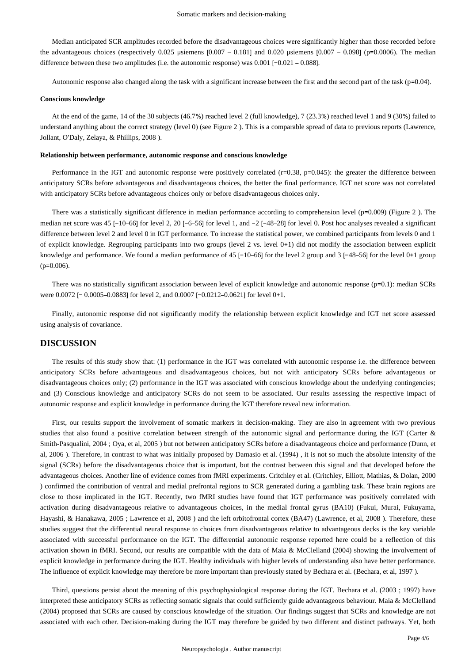Median anticipated SCR amplitudes recorded before the disadvantageous choices were significantly higher than those recorded before the advantageous choices (respectively 0.025 μsiemens [0.007 – 0.181] and 0.020 μsiemens [0.007 – 0.098] (p=0.0006). The median difference between these two amplitudes (i.e. the autonomic response) was 0.001 [−0.021 – 0.088].

Autonomic response also changed along the task with a significant increase between the first and the second part of the task (p=0.04).

#### **Conscious knowledge**

At the end of the game, 14 of the 30 subjects (46.7%) reached level 2 (full knowledge), 7 (23.3%) reached level 1 and 9 (30%) failed to understand anything about the correct strategy (level 0) (see Figure 2 ). This is a comparable spread of data to previous reports (Lawrence, Jollant, O'Daly, Zelaya, & Phillips, 2008 ).

#### **Relationship between performance, autonomic response and conscious knowledge**

Performance in the IGT and autonomic response were positively correlated (r=0.38, p=0.045): the greater the difference between anticipatory SCRs before advantageous and disadvantageous choices, the better the final performance. IGT net score was not correlated with anticipatory SCRs before advantageous choices only or before disadvantageous choices only.

There was a statistically significant difference in median performance according to comprehension level (p=0.009) (Figure 2 ). The median net score was 45 [−10–66] for level 2, 20 [−6–56] for level 1, and −2 [−48–28] for level 0. Post hoc analyses revealed a significant difference between level 2 and level 0 in IGT performance. To increase the statistical power, we combined participants from levels 0 and 1 of explicit knowledge. Regrouping participants into two groups (level 2 vs. level 0+1) did not modify the association between explicit knowledge and performance. We found a median performance of 45 [−10–66] for the level 2 group and 3 [−48–56] for the level 0+1 group  $(p=0.006)$ .

There was no statistically significant association between level of explicit knowledge and autonomic response (p=0.1): median SCRs were 0.0072 [− 0.0005–0.0883] for level 2, and 0.0007 [−0.0212–0.0621] for level 0+1.

Finally, autonomic response did not significantly modify the relationship between explicit knowledge and IGT net score assessed using analysis of covariance.

### **DISCUSSION**

The results of this study show that: (1) performance in the IGT was correlated with autonomic response i.e. the difference between anticipatory SCRs before advantageous and disadvantageous choices, but not with anticipatory SCRs before advantageous or disadvantageous choices only; (2) performance in the IGT was associated with conscious knowledge about the underlying contingencies; and (3) Conscious knowledge and anticipatory SCRs do not seem to be associated. Our results assessing the respective impact of autonomic response and explicit knowledge in performance during the IGT therefore reveal new information.

First, our results support the involvement of somatic markers in decision-making. They are also in agreement with two previous studies that also found a positive correlation between strength of the autonomic signal and performance during the IGT (Carter & Smith-Pasqualini, 2004 ; Oya, et al, 2005 ) but not between anticipatory SCRs before a disadvantageous choice and performance (Dunn, et al, 2006 ). Therefore, in contrast to what was initially proposed by Damasio et al. (1994) , it is not so much the absolute intensity of the signal (SCRs) before the disadvantageous choice that is important, but the contrast between this signal and that developed before the advantageous choices. Another line of evidence comes from fMRI experiments. Critchley et al. (Critchley, Elliott, Mathias, & Dolan, 2000 ) confirmed the contribution of ventral and medial prefrontal regions to SCR generated during a gambling task. These brain regions are close to those implicated in the IGT. Recently, two fMRI studies have found that IGT performance was positively correlated with activation during disadvantageous relative to advantageous choices, in the medial frontal gyrus (BA10) (Fukui, Murai, Fukuyama, Hayashi, & Hanakawa, 2005 ; Lawrence et al, 2008 ) and the left orbitofrontal cortex (BA47) (Lawrence, et al, 2008 ). Therefore, these studies suggest that the differential neural response to choices from disadvantageous relative to advantageous decks is the key variable associated with successful performance on the IGT. The differential autonomic response reported here could be a reflection of this activation shown in fMRI. Second, our results are compatible with the data of Maia & McClelland (2004) showing the involvement of explicit knowledge in performance during the IGT. Healthy individuals with higher levels of understanding also have better performance. The influence of explicit knowledge may therefore be more important than previously stated by Bechara et al. (Bechara, et al, 1997 ).

Third, questions persist about the meaning of this psychophysiological response during the IGT. Bechara et al. (2003 ; 1997) have interpreted these anticipatory SCRs as reflecting somatic signals that could sufficiently guide advantageous behaviour. Maia & McClelland (2004) proposed that SCRs are caused by conscious knowledge of the situation. Our findings suggest that SCRs and knowledge are not associated with each other. Decision-making during the IGT may therefore be guided by two different and distinct pathways. Yet, both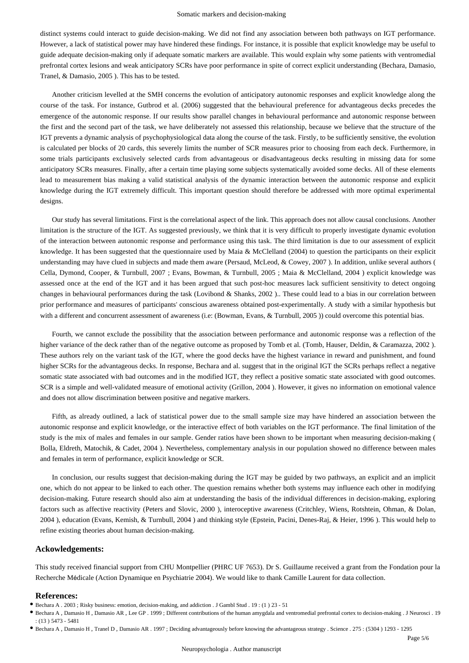distinct systems could interact to guide decision-making. We did not find any association between both pathways on IGT performance. However, a lack of statistical power may have hindered these findings. For instance, it is possible that explicit knowledge may be useful to guide adequate decision-making only if adequate somatic markers are available. This would explain why some patients with ventromedial prefrontal cortex lesions and weak anticipatory SCRs have poor performance in spite of correct explicit understanding (Bechara, Damasio, Tranel, & Damasio, 2005 ). This has to be tested.

Another criticism levelled at the SMH concerns the evolution of anticipatory autonomic responses and explicit knowledge along the course of the task. For instance, Gutbrod et al. (2006) suggested that the behavioural preference for advantageous decks precedes the emergence of the autonomic response. If our results show parallel changes in behavioural performance and autonomic response between the first and the second part of the task, we have deliberately not assessed this relationship, because we believe that the structure of the IGT prevents a dynamic analysis of psychophysiological data along the course of the task. Firstly, to be sufficiently sensitive, the evolution is calculated per blocks of 20 cards, this severely limits the number of SCR measures prior to choosing from each deck. Furthermore, in some trials participants exclusively selected cards from advantageous or disadvantageous decks resulting in missing data for some anticipatory SCRs measures. Finally, after a certain time playing some subjects systematically avoided some decks. All of these elements lead to measurement bias making a valid statistical analysis of the dynamic interaction between the autonomic response and explicit knowledge during the IGT extremely difficult. This important question should therefore be addressed with more optimal experimental designs.

Our study has several limitations. First is the correlational aspect of the link. This approach does not allow causal conclusions. Another limitation is the structure of the IGT. As suggested previously, we think that it is very difficult to properly investigate dynamic evolution of the interaction between autonomic response and performance using this task. The third limitation is due to our assessment of explicit knowledge. It has been suggested that the questionnaire used by Maia & McClelland (2004) to question the participants on their explicit understanding may have clued in subjects and made them aware (Persaud, McLeod, & Cowey, 2007 ). In addition, unlike several authors ( Cella, Dymond, Cooper, & Turnbull, 2007 ; Evans, Bowman, & Turnbull, 2005 ; Maia & McClelland, 2004 ) explicit knowledge was assessed once at the end of the IGT and it has been argued that such post-hoc measures lack sufficient sensitivity to detect ongoing changes in behavioural performances during the task (Lovibond & Shanks, 2002 ).. These could lead to a bias in our correlation between prior performance and measures of participants' conscious awareness obtained post-experimentally. A study with a similar hypothesis but with a different and concurrent assessment of awareness (i.e: (Bowman, Evans, & Turnbull, 2005)) could overcome this potential bias.

Fourth, we cannot exclude the possibility that the association between performance and autonomic response was a reflection of the higher variance of the deck rather than of the negative outcome as proposed by Tomb et al. (Tomb, Hauser, Deldin, & Caramazza, 2002). These authors rely on the variant task of the IGT, where the good decks have the highest variance in reward and punishment, and found higher SCRs for the advantageous decks. In response, Bechara and al. suggest that in the original IGT the SCRs perhaps reflect a negative somatic state associated with bad outcomes and in the modified IGT, they reflect a positive somatic state associated with good outcomes. SCR is a simple and well-validated measure of emotional activity (Grillon, 2004 ). However, it gives no information on emotional valence and does not allow discrimination between positive and negative markers.

Fifth, as already outlined, a lack of statistical power due to the small sample size may have hindered an association between the autonomic response and explicit knowledge, or the interactive effect of both variables on the IGT performance. The final limitation of the study is the mix of males and females in our sample. Gender ratios have been shown to be important when measuring decision-making ( Bolla, Eldreth, Matochik, & Cadet, 2004 ). Nevertheless, complementary analysis in our population showed no difference between males and females in term of performance, explicit knowledge or SCR.

In conclusion, our results suggest that decision-making during the IGT may be guided by two pathways, an explicit and an implicit one, which do not appear to be linked to each other. The question remains whether both systems may influence each other in modifying decision-making. Future research should also aim at understanding the basis of the individual differences in decision-making, exploring factors such as affective reactivity (Peters and Slovic, 2000 ), interoceptive awareness (Critchley, Wiens, Rotshtein, Ohman, & Dolan, 2004 ), education (Evans, Kemish, & Turnbull, 2004 ) and thinking style (Epstein, Pacini, Denes-Raj, & Heier, 1996 ). This would help to refine existing theories about human decision-making.

#### **Ackowledgements:**

This study received financial support from CHU Montpellier (PHRC UF 7653). Dr S. Guillaume received a grant from the Fondation pour la Recherche Médicale (Action Dynamique en Psychiatrie 2004). We would like to thank Camille Laurent for data collection.

#### **References:**

Bechara A , Damasio H , Tranel D , Damasio AR . 1997 ; Deciding advantageously before knowing the advantageous strategy . Science . 275 : (5304 ) 1293 - 1295

Bechara A . 2003 ; Risky business: emotion, decision-making, and addiction . J Gambl Stud . 19 : (1 ) 23 - 51

Bechara A , Damasio H , Damasio AR , Lee GP . 1999 ; Different contributions of the human amygdala and ventromedial prefrontal cortex to decision-making . J Neurosci . 19 : (13 ) 5473 - 5481